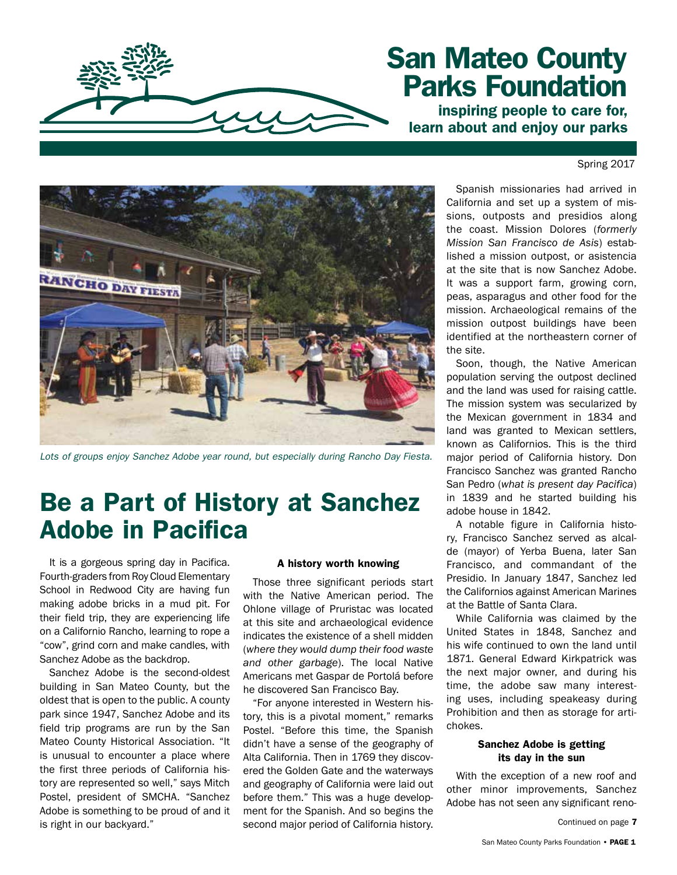

# San Mateo County Parks Foundation

inspiring people to care for, learn about and enjoy our parks

Spring 2017



*Lots of groups enjoy Sanchez Adobe year round, but especially during Rancho Day Fiesta.*

# Be a Part of History at Sanchez Adobe in Pacifica

It is a gorgeous spring day in Pacifica. Fourth-graders from Roy Cloud Elementary School in Redwood City are having fun making adobe bricks in a mud pit. For their field trip, they are experiencing life on a Californio Rancho, learning to rope a "cow", grind corn and make candles, with Sanchez Adobe as the backdrop.

Sanchez Adobe is the second-oldest building in San Mateo County, but the oldest that is open to the public. A county park since 1947, Sanchez Adobe and its field trip programs are run by the San Mateo County Historical Association. "It is unusual to encounter a place where the first three periods of California history are represented so well," says Mitch Postel, president of SMCHA. "Sanchez Adobe is something to be proud of and it is right in our backyard."

#### A history worth knowing

Those three significant periods start with the Native American period. The Ohlone village of Pruristac was located at this site and archaeological evidence indicates the existence of a shell midden (*where they would dump their food waste and other garbage*). The local Native Americans met Gaspar de Portolá before he discovered San Francisco Bay.

"For anyone interested in Western history, this is a pivotal moment," remarks Postel. "Before this time, the Spanish didn't have a sense of the geography of Alta California. Then in 1769 they discovered the Golden Gate and the waterways and geography of California were laid out before them." This was a huge development for the Spanish. And so begins the second major period of California history.

Spanish missionaries had arrived in California and set up a system of missions, outposts and presidios along the coast. Mission Dolores (*formerly Mission San Francisco de Asis*) established a mission outpost, or asistencia at the site that is now Sanchez Adobe. It was a support farm, growing corn, peas, asparagus and other food for the mission. Archaeological remains of the mission outpost buildings have been identified at the northeastern corner of the site.

Soon, though, the Native American population serving the outpost declined and the land was used for raising cattle. The mission system was secularized by the Mexican government in 1834 and land was granted to Mexican settlers, known as Californios. This is the third major period of California history. Don Francisco Sanchez was granted Rancho San Pedro (*what is present day Pacifica*) in 1839 and he started building his adobe house in 1842.

A notable figure in California history, Francisco Sanchez served as alcalde (mayor) of Yerba Buena, later San Francisco, and commandant of the Presidio. In January 1847, Sanchez led the Californios against American Marines at the Battle of Santa Clara.

While California was claimed by the United States in 1848, Sanchez and his wife continued to own the land until 1871. General Edward Kirkpatrick was the next major owner, and during his time, the adobe saw many interesting uses, including speakeasy during Prohibition and then as storage for artichokes.

#### Sanchez Adobe is getting its day in the sun

With the exception of a new roof and other minor improvements, Sanchez Adobe has not seen any significant reno-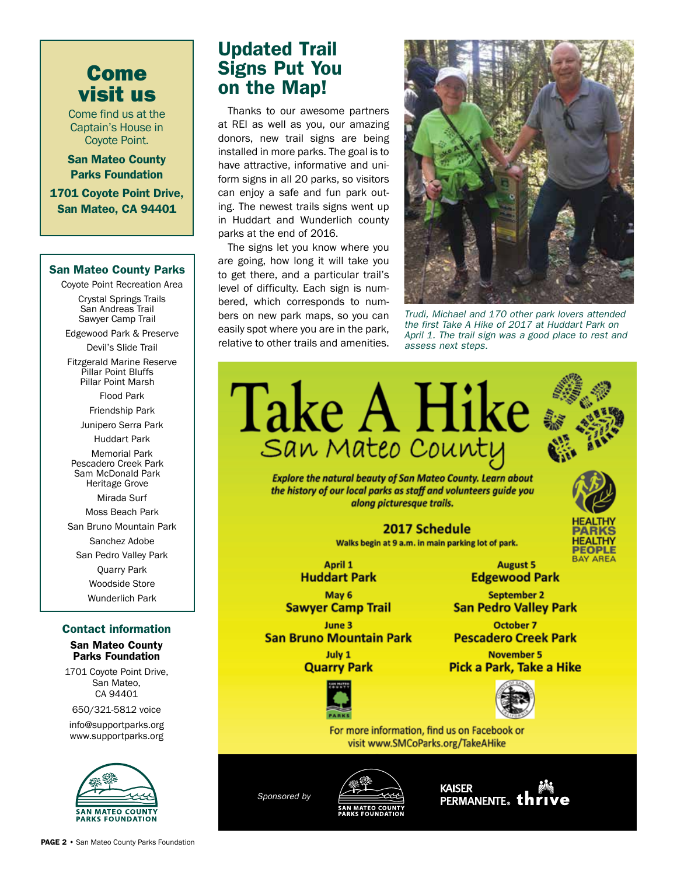# Come visit us

Come find us at the Captain's House in Coyote Point.

San Mateo County Parks Foundation

1701 Coyote Point Drive, San Mateo, CA 94401

#### San Mateo County Parks

Coyote Point Recreation Area

Crystal Springs Trails San Andreas Trail Sawyer Camp Trail

Edgewood Park & Preserve

Devil's Slide Trail

Fitzgerald Marine Reserve Pillar Point Bluffs Pillar Point Marsh

Flood Park

Friendship Park

Junipero Serra Park

Huddart Park

Memorial Park Pescadero Creek Park Sam McDonald Park Heritage Grove

Mirada Surf Moss Beach Park

San Bruno Mountain Park

Sanchez Adobe

San Pedro Valley Park

Quarry Park

Woodside Store

Wunderlich Park

#### Contact information

#### San Mateo County Parks Foundation

1701 Coyote Point Drive, San Mateo, CA 94401

650/321-5812 voice

info@supportparks.org www.supportparks.org



## Updated Trail Signs Put You on the Map!

Thanks to our awesome partners at REI as well as you, our amazing donors, new trail signs are being installed in more parks. The goal is to have attractive, informative and uniform signs in all 20 parks, so visitors can enjoy a safe and fun park outing. The newest trails signs went up in Huddart and Wunderlich county parks at the end of 2016.

The signs let you know where you are going, how long it will take you to get there, and a particular trail's level of difficulty. Each sign is numbered, which corresponds to numbers on new park maps, so you can easily spot where you are in the park, relative to other trails and amenities.



*Trudi, Michael and 170 other park lovers attended the first Take A Hike of 2017 at Huddart Park on April 1. The trail sign was a good place to rest and assess next steps.*

**Take A Hike** San Mateo County **Explore the natural beauty of San Mateo County. Learn about** 

the history of our local parks as staff and volunteers guide you along picturesque trails.

> 2017 Schedule Walks begin at 9 a.m. in main parking lot of park.

April 1 **Huddart Park** 

May 6 **Sawyer Camp Trail** 

June 3 **San Bruno Mountain Park** 

July 1 **Quarry Park** 



**November 5** Pick a Park, Take a Hike



**August 5** 

**Edgewood Park** 

**September 2** 

**San Pedro Valley Park** 

**October 7** 

**Pescadero Creek Park** 

**PEOPLE BAY AREA** 

For more information, find us on Facebook or visit www.SMCoParks.org/TakeAHike

*Sponsored by*



**KAISER** PERMANENTE。thri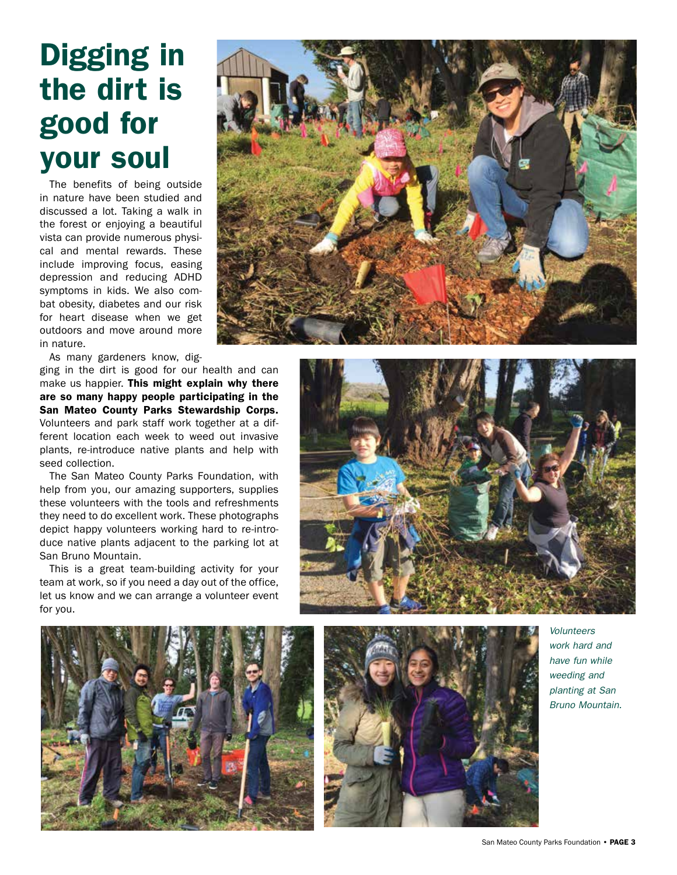# Digging in the dirt is good for your soul

The benefits of being outside in nature have been studied and discussed a lot. Taking a walk in the forest or enjoying a beautiful vista can provide numerous physical and mental rewards. These include improving focus, easing depression and reducing ADHD symptoms in kids. We also combat obesity, diabetes and our risk for heart disease when we get outdoors and move around more in nature.

As many gardeners know, dig-

ging in the dirt is good for our health and can make us happier. This might explain why there are so many happy people participating in the San Mateo County Parks Stewardship Corps. Volunteers and park staff work together at a different location each week to weed out invasive plants, re-introduce native plants and help with seed collection.

The San Mateo County Parks Foundation, with help from you, our amazing supporters, supplies these volunteers with the tools and refreshments they need to do excellent work. These photographs depict happy volunteers working hard to re-introduce native plants adjacent to the parking lot at San Bruno Mountain.

This is a great team-building activity for your team at work, so if you need a day out of the office, let us know and we can arrange a volunteer event for you.









*Volunteers work hard and have fun while weeding and planting at San Bruno Mountain.*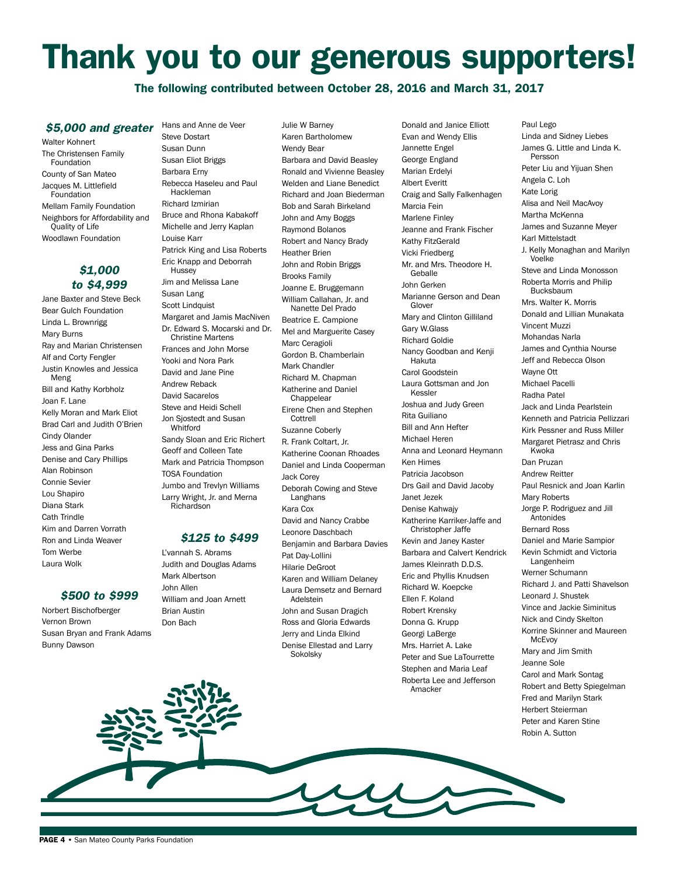# Thank you to our generous supporters!

The following contributed between October 28, 2016 and March 31, 2017

#### *\$5,000 and greater*

Walter Kohnert The Christensen Family Foundation County of San Mateo Jacques M. Littlefield **Foundation** Mellam Family Foundation Neighbors for Affordability and

Quality of Life Woodlawn Foundation

#### *\$1,000 to \$4,999*

Jane Baxter and Steve Beck Bear Gulch Foundation Linda L. Brownrigg Mary Burns Ray and Marian Christensen Alf and Corty Fengler Justin Knowles and Jessica Meng Bill and Kathy Korbholz Joan F. Lane Kelly Moran and Mark Eliot Brad Carl and Judith O'Brien Cindy Olander Jess and Gina Parks Denise and Cary Phillips Alan Robinson Connie Sevier Lou Shapiro Diana Stark Cath Trindle Kim and Darren Vorrath Ron and Linda Weaver Tom Werbe Laura Wolk

#### *\$500 to \$999*

Norbert Bischofberger Vernon Brown Susan Bryan and Frank Adams Bunny Dawson

Steve Dostart Susan Dunn Susan Eliot Briggs Barbara Erny Rebecca Haseleu and Paul Hackleman Richard Izmirian Bruce and Rhona Kabakoff Michelle and Jerry Kaplan Louise Karr Patrick King and Lisa Roberts Eric Knapp and Deborrah **Hussey** Jim and Melissa Lane Susan Lang Scott Lindquist Margaret and Jamis MacNiven Dr. Edward S. Mocarski and Dr. Christine Martens Frances and John Morse Yooki and Nora Park David and Jane Pine Andrew Reback David Sacarelos Steve and Heidi Schell Jon Sjostedt and Susan Whitford Sandy Sloan and Eric Richert Geoff and Colleen Tate Mark and Patricia Thompson TOSA Foundation Jumbo and Trevlyn Williams Larry Wright, Jr. and Merna Richardson

Hans and Anne de Veer

#### *\$125 to \$499*

L'vannah S. Abrams Judith and Douglas Adams Mark Albertson John Allen William and Joan Arnett Brian Austin Don Bach

Julie W Barney Karen Bartholomew Wendy Bear Barbara and David Beasley Ronald and Vivienne Beasley Welden and Liane Benedict Richard and Joan Biederman Bob and Sarah Birkeland John and Amy Boggs Raymond Bolanos Robert and Nancy Brady Heather Brien John and Robin Briggs Brooks Family Joanne E. Bruggemann William Callahan, Jr. and Nanette Del Prado Beatrice E. Campione Mel and Marguerite Casey Marc Ceragioli Gordon B. Chamberlain Mark Chandler Richard M. Chapman Katherine and Daniel **Chappelear** Eirene Chen and Stephen **Cottrell** Suzanne Coberly R. Frank Coltart, Jr. Katherine Coonan Rhoades Daniel and Linda Cooperman Jack Corey Deborah Cowing and Steve Langhans Kara Cox David and Nancy Crabbe Leonore Daschbach Benjamin and Barbara Davies Pat Day-Lollini Hilarie DeGroot Karen and William Delaney Laura Demsetz and Bernard Adelstein John and Susan Dragich Ross and Gloria Edwards Jerry and Linda Elkind Denise Ellestad and Larry Sokolsky

Donald and Janice Elliott Evan and Wendy Ellis Jannette Engel George England Marian Erdelyi Albert Everitt Craig and Sally Falkenhagen Marcia Fein Marlene Finley Jeanne and Frank Fischer Kathy FitzGerald Vicki Friedberg Mr. and Mrs. Theodore H. **Geballe** John Gerken Marianne Gerson and Dean Glover Mary and Clinton Gilliland Gary W.Glass Richard Goldie Nancy Goodban and Kenji Hakuta Carol Goodstein Laura Gottsman and Jon Kessler Joshua and Judy Green Rita Guiliano Bill and Ann Hefter Michael Heren Anna and Leonard Heymann Ken Himes Patricia Jacobson Drs Gail and David Jacoby Janet Jezek Denise Kahwajy Katherine Karriker-Jaffe and Christopher Jaffe Kevin and Janey Kaster Barbara and Calvert Kendrick James Kleinrath D.D.S. Eric and Phyllis Knudsen Richard W. Koepcke Ellen F. Koland Robert Krensky Donna G. Krupp Georgi LaBerge Mrs. Harriet A. Lake Peter and Sue LaTourrette Stephen and Maria Leaf Roberta Lee and Jefferson Amacker

Paul Lego Linda and Sidney Liebes James G. Little and Linda K. Persson Peter Liu and Yijuan Shen Angela C. Loh Kate Lorig Alisa and Neil MacAvoy Martha McKenna James and Suzanne Meyer Karl Mittelstadt J. Kelly Monaghan and Marilyn Voelke Steve and Linda Monosson Roberta Morris and Philip Bucksbaum Mrs. Walter K. Morris Donald and Lillian Munakata Vincent Muzzi Mohandas Narla James and Cynthia Nourse Jeff and Rebecca Olson Wayne Ott Michael Pacelli Radha Patel Jack and Linda Pearlstein Kenneth and Patricia Pellizzari Kirk Pessner and Russ Miller Margaret Pietrasz and Chris Kwoka Dan Pruzan Andrew Reitter Paul Resnick and Joan Karlin Mary Roberts Jorge P. Rodriguez and Jill Antonides Bernard Ross Daniel and Marie Sampior Kevin Schmidt and Victoria Langenheim Werner Schumann Richard J. and Patti Shavelson Leonard J. Shustek Vince and Jackie Siminitus Nick and Cindy Skelton Korrine Skinner and Maureen **McEvoy** Mary and Jim Smith Jeanne Sole Carol and Mark Sontag Robert and Betty Spiegelman Fred and Marilyn Stark Herbert Steierman Peter and Karen Stine

Robin A. Sutton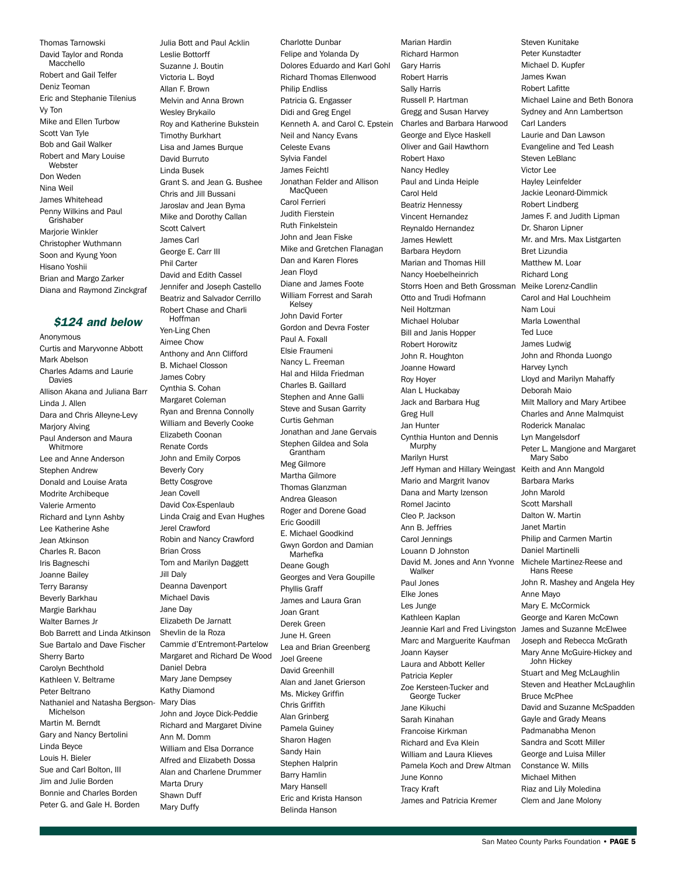Thomas Tarnowski David Taylor and Ronda Macchello Robert and Gail Telfer Deniz Teoman Eric and Stephanie Tilenius Vy Ton Mike and Ellen Turbow Scott Van Tyle Bob and Gail Walker Robert and Mary Louise **Webster** Don Weden Nina Weil James Whitehead Penny Wilkins and Paul Grishaber Marjorie Winkler Christopher Wuthmann Soon and Kyung Yoon Hisano Yoshii Brian and Margo Zarker Diana and Raymond Zinckgraf

#### *\$124 and below*

Anonymous Curtis and Maryvonne Abbott Mark Abelson Charles Adams and Laurie Davies Allison Akana and Juliana Barr Linda J. Allen Dara and Chris Alleyne-Levy Marjory Alving Paul Anderson and Maura Whitmore Lee and Anne Anderson Stephen Andrew Donald and Louise Arata Modrite Archibeque Valerie Armento Richard and Lynn Ashby Lee Katherine Ashe Jean Atkinson Charles R. Bacon Iris Bagneschi Joanne Bailey Terry Baransy Beverly Barkhau Margie Barkhau Walter Barnes Jr Bob Barrett and Linda Atkinson Sue Bartalo and Dave Fischer Sherry Barto Carolyn Bechthold Kathleen V. Beltrame Peter Beltrano Nathaniel and Natasha Bergson-Michelson Martin M. Berndt Gary and Nancy Bertolini Linda Beyce Louis H. Bieler Sue and Carl Bolton, III Jim and Julie Borden Bonnie and Charles Borden Peter G. and Gale H. Borden

Suzanne J. Boutin Victoria L. Boyd Allan F. Brown Melvin and Anna Brown Wesley Brykailo Roy and Katherine Bukstein Timothy Burkhart Lisa and James Burque David Burruto Linda Busek Grant S. and Jean G. Bushee Chris and Jill Bussani Jaroslav and Jean Byma Mike and Dorothy Callan Scott Calvert James Carl George E. Carr III Phil Carter David and Edith Cassel Jennifer and Joseph Castello Beatriz and Salvador Cerrillo Robert Chase and Charli Hoffman Yen-Ling Chen Aimee Chow Anthony and Ann Clifford B. Michael Closson James Cobry Cynthia S. Cohan Margaret Coleman Ryan and Brenna Connolly William and Beverly Cooke Elizabeth Coonan Renate Cords John and Emily Corpos Beverly Cory Betty Cosgrove Jean Covell David Cox-Espenlaub Linda Craig and Evan Hughes Jerel Crawford Robin and Nancy Crawford Brian Cross Tom and Marilyn Daggett Jill Daly Deanna Davenport Michael Davis Jane Day Elizabeth De Jarnatt Shevlin de la Roza Cammie d'Entremont-Partelow Margaret and Richard De Wood Daniel Debra Mary Jane Dempsey Kathy Diamond Mary Dias John and Joyce Dick-Peddie Richard and Margaret Divine Ann M. Domm William and Elsa Dorrance Alfred and Elizabeth Dossa Alan and Charlene Drummer Marta Drury Shawn Duff Mary Duffy

Julia Bott and Paul Acklin

Leslie Bottorff

Charlotte Dunbar Felipe and Yolanda Dy Dolores Eduardo and Karl Gohl Richard Thomas Ellenwood Philip Endliss Patricia G. Engasser Didi and Greg Engel Kenneth A. and Carol C. Epstein Neil and Nancy Evans Celeste Evans Sylvia Fandel James Feichtl Jonathan Felder and Allison MacQueen Carol Ferrieri Judith Fierstein Ruth Finkelstein John and Jean Fiske Mike and Gretchen Flanagan Dan and Karen Flores Jean Floyd Diane and James Foote William Forrest and Sarah Kelsey John David Forter Gordon and Devra Foster Paul A. Foxall Elsie Fraumeni Nancy L. Freeman Hal and Hilda Friedman Charles B. Gaillard Stephen and Anne Galli Steve and Susan Garrity Curtis Gehman Jonathan and Jane Gervais Stephen Gildea and Sola Grantham Meg Gilmore Martha Gilmore Thomas Glanzman Andrea Gleason Roger and Dorene Goad Eric Goodill E. Michael Goodkind Gwyn Gordon and Damian Marhefka Deane Gough Georges and Vera Goupille Phyllis Graff James and Laura Gran Joan Grant Derek Green June H. Green Lea and Brian Greenberg Joel Greene David Greenhill Alan and Janet Grierson Ms. Mickey Griffin Chris Griffith Alan Grinberg Pamela Guiney Sharon Hagen Sandy Hain Stephen Halprin Barry Hamlin Mary Hansell Eric and Krista Hanson Belinda Hanson

Marian Hardin Richard Harmon Gary Harris Robert Harris Sally Harris Russell P. Hartman Gregg and Susan Harvey Charles and Barbara Harwood George and Elyce Haskell Oliver and Gail Hawthorn Robert Haxo Nancy Hedley Paul and Linda Heiple Carol Held Beatriz Hennessy Vincent Hernandez Reynaldo Hernandez James Hewlett Barbara Heydorn Marian and Thomas Hill Nancy Hoebelheinrich Storrs Hoen and Beth Grossman Otto and Trudi Hofmann Neil Holtzman Michael Holubar Bill and Janis Hopper Robert Horowitz John R. Houghton Joanne Howard Roy Hoyer Alan L Huckabay Jack and Barbara Hug Greg Hull Jan Hunter Cynthia Hunton and Dennis Murphy Marilyn Hurst Jeff Hyman and Hillary Weingast Mario and Margrit Ivanov Dana and Marty Izenson Romel Jacinto Cleo P. Jackson Ann B. Jeffries Carol Jennings Louann D Johnston David M. Jones and Ann Yvonne **Walker** Paul Jones Elke Jones Les Junge Kathleen Kaplan Jeannie Karl and Fred Livingston Marc and Marguerite Kaufman Joann Kayser Laura and Abbott Keller Patricia Kepler Zoe Kersteen-Tucker and George Tucker Jane Kikuchi Sarah Kinahan Francoise Kirkman Richard and Eva Klein William and Laura Klieves Pamela Koch and Drew Altman June Konno Tracy Kraft James and Patricia Kremer

Steven Kunitake Peter Kunstadter Michael D. Kupfer James Kwan Robert Lafitte Michael Laine and Beth Bonora Sydney and Ann Lambertson Carl Landers Laurie and Dan Lawson Evangeline and Ted Leash Steven LeBlanc Victor Lee Hayley Leinfelder Jackie Leonard-Dimmick Robert Lindberg James F. and Judith Lipman Dr. Sharon Lipner Mr. and Mrs. Max Listgarten Bret Lizundia Matthew M. Loar Richard Long Meike Lorenz-Candlin Carol and Hal Louchheim Nam Loui Marla Lowenthal Ted Luce James Ludwig John and Rhonda Luongo Harvey Lynch Lloyd and Marilyn Mahaffy Deborah Maio Milt Mallory and Mary Artibee Charles and Anne Malmquist Roderick Manalac Lyn Mangelsdorf Peter L. Mangione and Margaret Mary Sabo Keith and Ann Mangold Barbara Marks John Marold Scott Marshall Dalton W. Martin Janet Martin Philip and Carmen Martin Daniel Martinelli Michele Martinez-Reese and Hans Reese John R. Mashey and Angela Hey Anne Mayo Mary E. McCormick George and Karen McCown James and Suzanne McElwee Joseph and Rebecca McGrath Mary Anne McGuire-Hickey and John Hickey Stuart and Meg McLaughlin Steven and Heather McLaughlin Bruce McPhee David and Suzanne McSpadden Gayle and Grady Means Padmanabha Menon Sandra and Scott Miller George and Luisa Miller Constance W. Mills Michael Mithen Riaz and Lily Moledina Clem and Jane Molony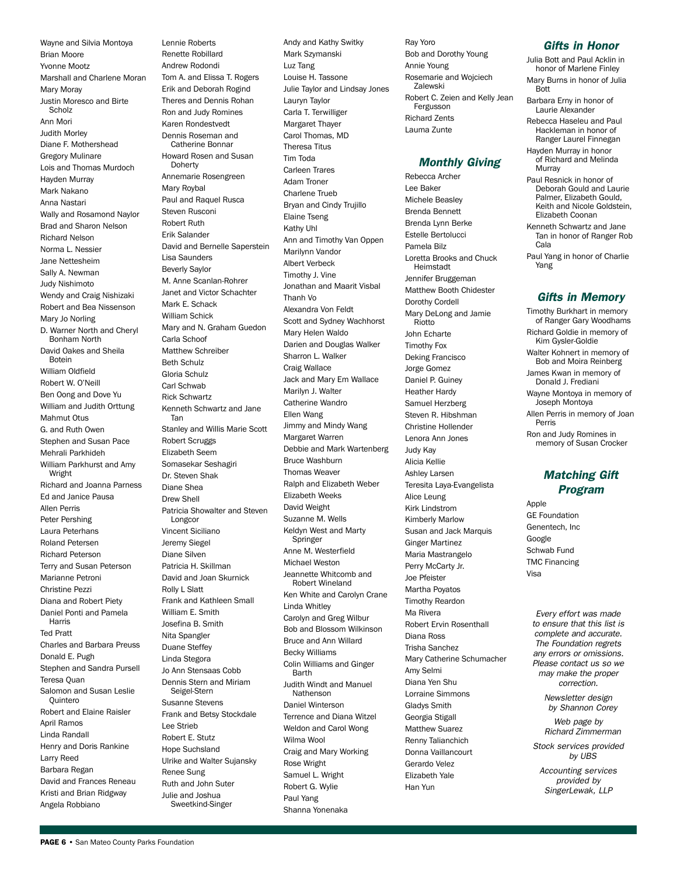Wayne and Silvia Montoya Brian Moore Yvonne Mootz Marshall and Charlene Moran Mary Moray Justin Moresco and Birte **Scholz** Ann Mori Judith Morley Diane F. Mothershead Gregory Mulinare Lois and Thomas Murdoch Hayden Murray Mark Nakano Anna Nastari Wally and Rosamond Naylor Brad and Sharon Nelson Richard Nelson Norma L. Nessier Jane Nettesheim Sally A. Newman Judy Nishimoto Wendy and Craig Nishizaki Robert and Bea Nissenson Mary Jo Norling D. Warner North and Cheryl Bonham North David Oakes and Sheila Botein William Oldfield Robert W. O'Neill Ben Oong and Dove Yu William and Judith Orttung Mahmut Otus G. and Ruth Owen Stephen and Susan Pace Mehrali Parkhideh William Parkhurst and Amy Wright Richard and Joanna Parness Ed and Janice Pausa Allen Perris Peter Pershing Laura Peterhans Roland Petersen Richard Peterson Terry and Susan Peterson Marianne Petroni Christine Pezzi Diana and Robert Piety Daniel Ponti and Pamela Harris Ted Pratt Charles and Barbara Preuss Donald E. Pugh Stephen and Sandra Pursell Teresa Quan Salomon and Susan Leslie **Ouintero** Robert and Elaine Raisler April Ramos Linda Randall Henry and Doris Rankine Larry Reed Barbara Regan David and Frances Reneau Kristi and Brian Ridgway Angela Robbiano

Lennie Roberts Renette Robillard Andrew Rodondi Tom A. and Elissa T. Rogers Erik and Deborah Rogind Theres and Dennis Rohan Ron and Judy Romines Karen Rondestvedt Dennis Roseman and Catherine Bonnar Howard Rosen and Susan **Doherty** Annemarie Rosengreen Mary Roybal Paul and Raquel Rusca Steven Rusconi Robert Ruth Erik Salander David and Bernelle Saperstein Lisa Saunders Beverly Saylor M. Anne Scanlan-Rohrer Janet and Victor Schachter Mark E. Schack William Schick Mary and N. Graham Guedon Carla Schoof Matthew Schreiber Beth Schulz Gloria Schulz Carl Schwab Rick Schwartz Kenneth Schwartz and Jane Tan Stanley and Willis Marie Scott Robert Scruggs Elizabeth Seem Somasekar Seshagiri Dr. Steven Shak Diane Shea Drew Shell Patricia Showalter and Steven Longcor Vincent Siciliano Jeremy Siegel Diane Silven Patricia H. Skillman David and Joan Skurnick Rolly L Slatt Frank and Kathleen Small William E. Smith Josefina B. Smith Nita Spangler Duane Steffey Linda Stegora Jo Ann Stensaas Cobb Dennis Stern and Miriam Seigel-Stern Susanne Stevens Frank and Betsy Stockdale Lee Strieb Robert E. Stutz Hope Suchsland Ulrike and Walter Sujansky Renee Sung Ruth and John Suter Julie and Joshua Sweetkind-Singer

Andy and Kathy Switky Mark Szymanski Luz Tang Louise H. Tassone Julie Taylor and Lindsay Jones Lauryn Taylor Carla T. Terwilliger Margaret Thayer Carol Thomas, MD Theresa Titus Tim Toda Carleen Trares Adam Troner Charlene Trueb Bryan and Cindy Trujillo Elaine Tseng Kathy Uhl Ann and Timothy Van Oppen Marilynn Vandor Albert Verbeck Timothy J. Vine Jonathan and Maarit Visbal Thanh Vo Alexandra Von Feldt Scott and Sydney Wachhorst Mary Helen Waldo Darien and Douglas Walker Sharron L. Walker Craig Wallace Jack and Mary Em Wallace Marilyn J. Walter Catherine Wandro Ellen Wang Jimmy and Mindy Wang Margaret Warren Debbie and Mark Wartenberg Bruce Washburn Thomas Weaver Ralph and Elizabeth Weber Elizabeth Weeks David Weight Suzanne M. Wells Keldyn West and Marty Springer Anne M. Westerfield Michael Weston Jeannette Whitcomb and Robert Wineland Ken White and Carolyn Crane Linda Whitley Carolyn and Greg Wilbur Bob and Blossom Wilkinson Bruce and Ann Willard Becky Williams Colin Williams and Ginger Barth Judith Windt and Manuel Nathenson Daniel Winterson Terrence and Diana Witzel Weldon and Carol Wong Wilma Wool Craig and Mary Working Rose Wright Samuel L. Wright Robert G. Wylie Paul Yang

Shanna Yonenaka

Ray Yoro Bob and Dorothy Young Annie Young Rosemarie and Wojciech Zalewski Robert C. Zeien and Kelly Jean Fergusson Richard Zents Lauma Zunte

#### *Monthly Giving*

Rebecca Archer Lee Baker Michele Beasley Brenda Bennett Brenda Lynn Berke Estelle Bertolucci Pamela Bilz Loretta Brooks and Chuck Heimstadt Jennifer Bruggeman Matthew Booth Chidester Dorothy Cordell Mary DeLong and Jamie Riotto John Echarte Timothy Fox Deking Francisco Jorge Gomez Daniel P. Guiney Heather Hardy Samuel Herzberg Steven R. Hibshman Christine Hollender Lenora Ann Jones Judy Kay Alicia Kellie Ashley Larsen Teresita Laya-Evangelista Alice Leung Kirk Lindstrom Kimberly Marlow Susan and Jack Marquis Ginger Martinez Maria Mastrangelo Perry McCarty Jr. Joe Pfeister Martha Poyatos Timothy Reardon Ma Rivera Robert Ervin Rosenthall Diana Ross Trisha Sanchez Mary Catherine Schumacher Amy Selmi Diana Yen Shu Lorraine Simmons Gladys Smith Georgia Stigall Matthew Suarez Renny Talianchich Donna Vaillancourt Gerardo Velez Elizabeth Yale Han Yun

#### *Gifts in Honor*

Julia Bott and Paul Acklin in honor of Marlene Finley

- Mary Burns in honor of Julia **Bott**
- Barbara Erny in honor of Laurie Alexander

Rebecca Haseleu and Paul Hackleman in honor of Ranger Laurel Finnegan

Hayden Murray in honor of Richard and Melinda **Murray** 

Paul Resnick in honor of Deborah Gould and Laurie Palmer, Elizabeth Gould, Keith and Nicole Goldstein, Elizabeth Coonan

Kenneth Schwartz and Jane Tan in honor of Ranger Rob Cala

Paul Yang in honor of Charlie Yang

#### *Gifts in Memory*

Timothy Burkhart in memory of Ranger Gary Woodhams Richard Goldie in memory of Kim Gysler-Goldie Walter Kohnert in memory of Bob and Moira Reinberg James Kwan in memory of Donald J. Frediani Wayne Montoya in memory of Joseph Montoya Allen Perris in memory of Joan Perris Ron and Judy Romines in memory of Susan Crocker

#### *Matching Gift Program*

Apple GE Foundation Genentech, Inc Google Schwab Fund TMC Financing Visa

> *Every effort was made to ensure that this list is complete and accurate. The Foundation regrets any errors or omissions. Please contact us so we may make the proper correction.*

> > *Newsletter design by Shannon Corey*

*Web page by Richard Zimmerman* 

*Stock services provided by UBS*

*Accounting services provided by SingerLewak, LLP*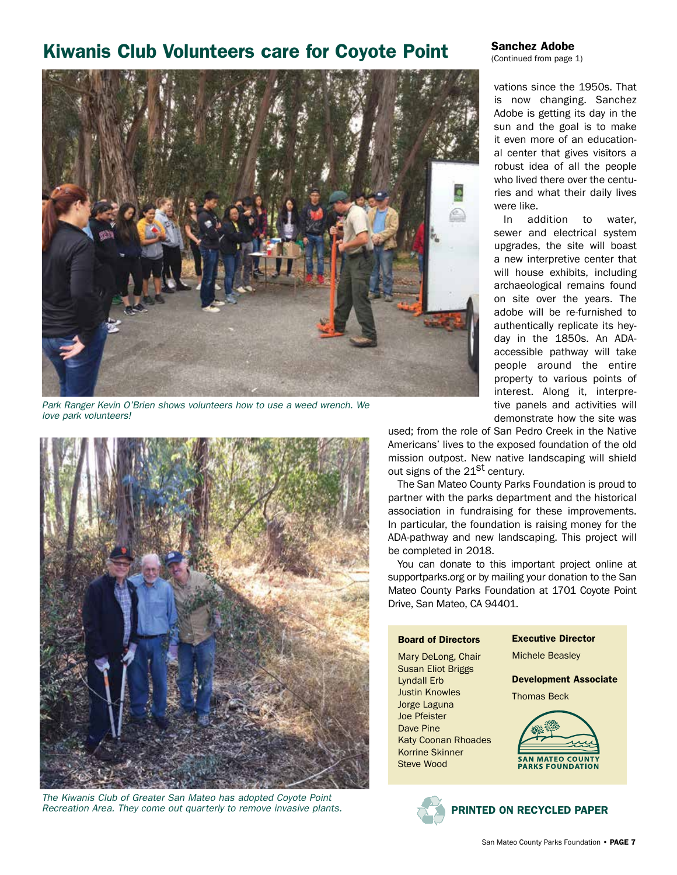## Kiwanis Club Volunteers care for Coyote Point



*Park Ranger Kevin O'Brien shows volunteers how to use a weed wrench. We love park volunteers!*



*The Kiwanis Club of Greater San Mateo has adopted Coyote Point Recreation Area. They come out quarterly to remove invasive plants.* 

#### Sanchez Adobe

(Continued from page 1)

vations since the 1950s. That is now changing. Sanchez Adobe is getting its day in the sun and the goal is to make it even more of an educational center that gives visitors a robust idea of all the people who lived there over the centuries and what their daily lives were like.

In addition to water, sewer and electrical system upgrades, the site will boast a new interpretive center that will house exhibits, including archaeological remains found on site over the years. The adobe will be re-furnished to authentically replicate its heyday in the 1850s. An ADAaccessible pathway will take people around the entire property to various points of interest. Along it, interpretive panels and activities will demonstrate how the site was

used; from the role of San Pedro Creek in the Native Americans' lives to the exposed foundation of the old mission outpost. New native landscaping will shield out signs of the 21<sup>St</sup> century.

The San Mateo County Parks Foundation is proud to partner with the parks department and the historical association in fundraising for these improvements. In particular, the foundation is raising money for the ADA-pathway and new landscaping. This project will be completed in 2018.

You can donate to this important project online at supportparks.org or by mailing your donation to the San Mateo County Parks Foundation at 1701 Coyote Point Drive, San Mateo, CA 94401.

#### Board of Directors

Mary DeLong, Chair Susan Eliot Briggs Lyndall Erb Justin Knowles Jorge Laguna Joe Pfeister Dave Pine Katy Coonan Rhoades Korrine Skinner Steve Wood

Executive Director

Michele Beasley

Development Associate

Thomas Beck